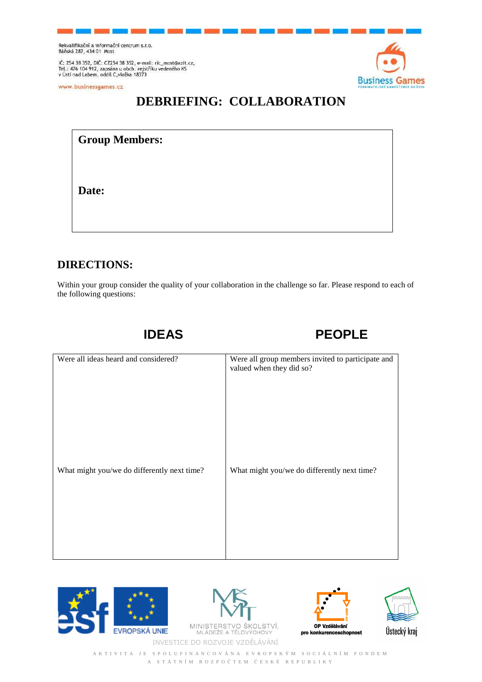Rekvalifikační a informační centrum s.r.o.<br>Báňská 287, 434 01 Most

IČ: 254 38 352, DIČ: CZ254 38 352, e-mail: ric\_most@azit.cz,<br>Tel.: 476 104 912, zapsána u obch. rejstříku vedeného KS<br>v Ústí nad Labem, oddíl C,vložka 18373

www.businessgames.cz



## **DEBRIEFING: COLLABORATION**

**Group Members:** 

**Date:** 

## **DIRECTIONS:**

Within your group consider the quality of your collaboration in the challenge so far. Please respond to each of the following questions:

 **IDEAS PEOPLE** 

| Were all ideas heard and considered?        | Were all group members invited to participate and<br>valued when they did so? |
|---------------------------------------------|-------------------------------------------------------------------------------|
| What might you/we do differently next time? | What might you/we do differently next time?                                   |





**MINISTERST** O ŠKOLSTVÍ, INVESTICE DO ROZVOJE VZDĚLÁVÁNÍ





A K T I V I T A J E S P O L U F I N A N C O V Á N A E V R O P S K Ý M S O C I Á L N Í M F O N D E M A S T Á T N Í M R O Z P O Č T E M Č E S K É R E P U B L I K Y